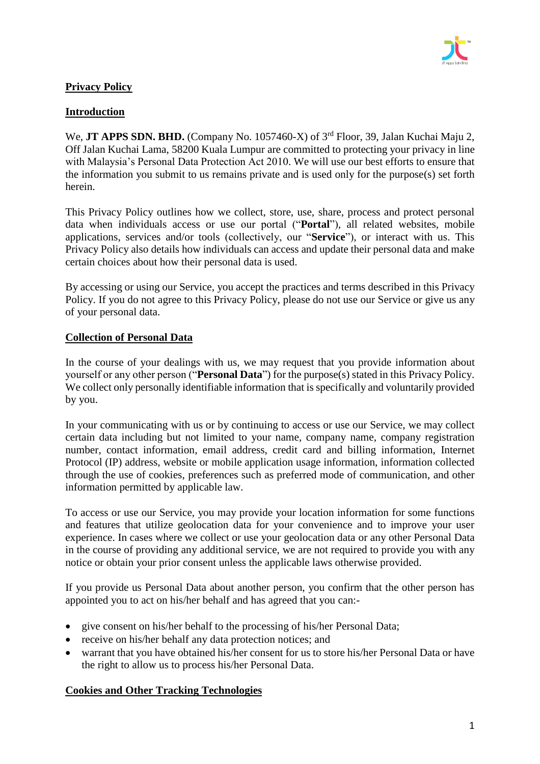

# **Privacy Policy**

### **Introduction**

We, JT APPS SDN. BHD. (Company No. 1057460-X) of 3<sup>rd</sup> Floor, 39, Jalan Kuchai Maju 2, Off Jalan Kuchai Lama, 58200 Kuala Lumpur are committed to protecting your privacy in line with Malaysia's Personal Data Protection Act 2010. We will use our best efforts to ensure that the information you submit to us remains private and is used only for the purpose(s) set forth herein.

This Privacy Policy outlines how we collect, store, use, share, process and protect personal data when individuals access or use our portal ("**Portal**"), all related websites, mobile applications, services and/or tools (collectively, our "**Service**"), or interact with us. This Privacy Policy also details how individuals can access and update their personal data and make certain choices about how their personal data is used.

By accessing or using our Service, you accept the practices and terms described in this Privacy Policy. If you do not agree to this Privacy Policy, please do not use our Service or give us any of your personal data.

### **Collection of Personal Data**

In the course of your dealings with us, we may request that you provide information about yourself or any other person ("**Personal Data**") for the purpose(s) stated in this Privacy Policy. We collect only personally identifiable information that is specifically and voluntarily provided by you.

In your communicating with us or by continuing to access or use our Service, we may collect certain data including but not limited to your name, company name, company registration number, contact information, email address, credit card and billing information, Internet Protocol (IP) address, website or mobile application usage information, information collected through the use of cookies, preferences such as preferred mode of communication, and other information permitted by applicable law.

To access or use our Service, you may provide your location information for some functions and features that utilize geolocation data for your convenience and to improve your user experience. In cases where we collect or use your geolocation data or any other Personal Data in the course of providing any additional service, we are not required to provide you with any notice or obtain your prior consent unless the applicable laws otherwise provided.

If you provide us Personal Data about another person, you confirm that the other person has appointed you to act on his/her behalf and has agreed that you can:-

- give consent on his/her behalf to the processing of his/her Personal Data;
- receive on his/her behalf any data protection notices; and
- warrant that you have obtained his/her consent for us to store his/her Personal Data or have the right to allow us to process his/her Personal Data.

# **Cookies and Other Tracking Technologies**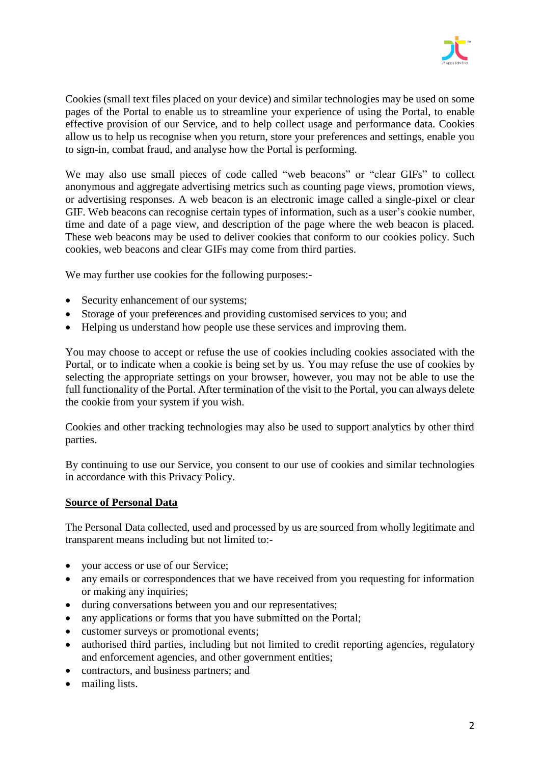

Cookies (small text files placed on your device) and similar technologies may be used on some pages of the Portal to enable us to streamline your experience of using the Portal, to enable effective provision of our Service, and to help collect usage and performance data. Cookies allow us to help us recognise when you return, store your preferences and settings, enable you to sign-in, combat fraud, and analyse how the Portal is performing.

We may also use small pieces of code called "web beacons" or "clear GIFs" to collect anonymous and aggregate advertising metrics such as counting page views, promotion views, or advertising responses. A web beacon is an electronic image called a single-pixel or clear GIF. Web beacons can recognise certain types of information, such as a user's cookie number, time and date of a page view, and description of the page where the web beacon is placed. These web beacons may be used to deliver cookies that conform to our cookies policy. Such cookies, web beacons and clear GIFs may come from third parties.

We may further use cookies for the following purposes:-

- Security enhancement of our systems;
- Storage of your preferences and providing customised services to you; and
- Helping us understand how people use these services and improving them.

You may choose to accept or refuse the use of cookies including cookies associated with the Portal, or to indicate when a cookie is being set by us. You may refuse the use of cookies by selecting the appropriate settings on your browser, however, you may not be able to use the full functionality of the Portal. After termination of the visit to the Portal, you can always delete the cookie from your system if you wish.

Cookies and other tracking technologies may also be used to support analytics by other third parties.

By continuing to use our Service, you consent to our use of cookies and similar technologies in accordance with this Privacy Policy.

#### **Source of Personal Data**

The Personal Data collected, used and processed by us are sourced from wholly legitimate and transparent means including but not limited to:-

- your access or use of our Service;
- any emails or correspondences that we have received from you requesting for information or making any inquiries;
- during conversations between you and our representatives;
- any applications or forms that you have submitted on the Portal;
- customer surveys or promotional events;
- authorised third parties, including but not limited to credit reporting agencies, regulatory and enforcement agencies, and other government entities;
- contractors, and business partners; and
- mailing lists.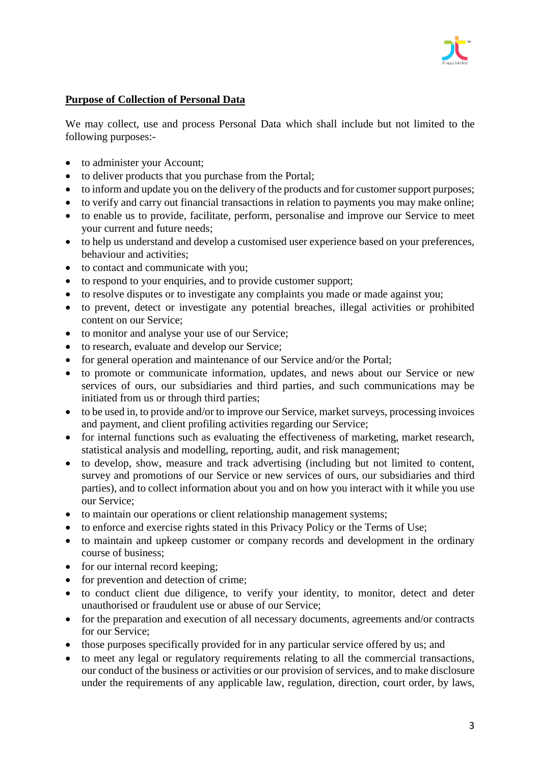

### **Purpose of Collection of Personal Data**

We may collect, use and process Personal Data which shall include but not limited to the following purposes:-

- to administer your Account;
- to deliver products that you purchase from the Portal;
- to inform and update you on the delivery of the products and for customer support purposes;
- to verify and carry out financial transactions in relation to payments you may make online;
- to enable us to provide, facilitate, perform, personalise and improve our Service to meet your current and future needs;
- to help us understand and develop a customised user experience based on your preferences, behaviour and activities;
- to contact and communicate with you;
- to respond to your enquiries, and to provide customer support;
- to resolve disputes or to investigate any complaints you made or made against you;
- to prevent, detect or investigate any potential breaches, illegal activities or prohibited content on our Service;
- to monitor and analyse your use of our Service;
- to research, evaluate and develop our Service;
- for general operation and maintenance of our Service and/or the Portal;
- to promote or communicate information, updates, and news about our Service or new services of ours, our subsidiaries and third parties, and such communications may be initiated from us or through third parties;
- to be used in, to provide and/or to improve our Service, market surveys, processing invoices and payment, and client profiling activities regarding our Service;
- for internal functions such as evaluating the effectiveness of marketing, market research, statistical analysis and modelling, reporting, audit, and risk management;
- to develop, show, measure and track advertising (including but not limited to content, survey and promotions of our Service or new services of ours, our subsidiaries and third parties), and to collect information about you and on how you interact with it while you use our Service;
- to maintain our operations or client relationship management systems;
- to enforce and exercise rights stated in this Privacy Policy or the Terms of Use;
- to maintain and upkeep customer or company records and development in the ordinary course of business;
- for our internal record keeping;
- for prevention and detection of crime;
- to conduct client due diligence, to verify your identity, to monitor, detect and deter unauthorised or fraudulent use or abuse of our Service;
- for the preparation and execution of all necessary documents, agreements and/or contracts for our Service;
- those purposes specifically provided for in any particular service offered by us; and
- to meet any legal or regulatory requirements relating to all the commercial transactions, our conduct of the business or activities or our provision of services, and to make disclosure under the requirements of any applicable law, regulation, direction, court order, by laws,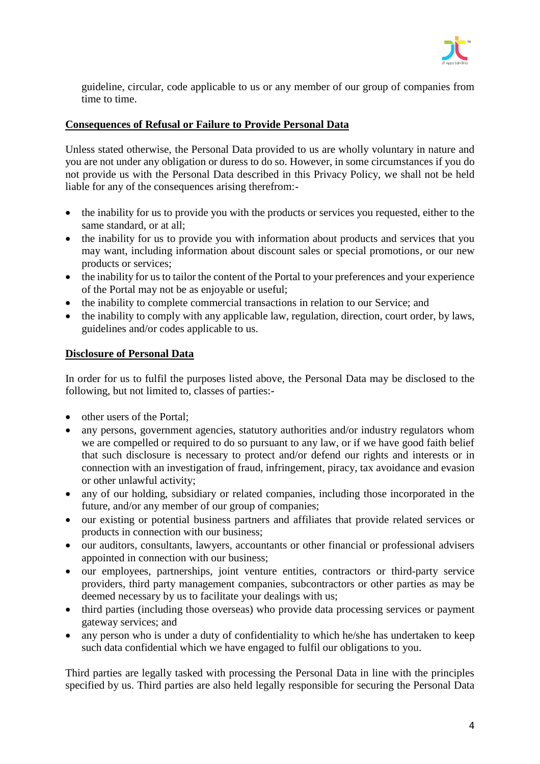

guideline, circular, code applicable to us or any member of our group of companies from time to time.

# **Consequences of Refusal or Failure to Provide Personal Data**

Unless stated otherwise, the Personal Data provided to us are wholly voluntary in nature and you are not under any obligation or duress to do so. However, in some circumstances if you do not provide us with the Personal Data described in this Privacy Policy, we shall not be held liable for any of the consequences arising therefrom:-

- the inability for us to provide you with the products or services you requested, either to the same standard, or at all;
- the inability for us to provide you with information about products and services that you may want, including information about discount sales or special promotions, or our new products or services;
- the inability for us to tailor the content of the Portal to your preferences and your experience of the Portal may not be as enjoyable or useful;
- the inability to complete commercial transactions in relation to our Service; and
- the inability to comply with any applicable law, regulation, direction, court order, by laws, guidelines and/or codes applicable to us.

### **Disclosure of Personal Data**

In order for us to fulfil the purposes listed above, the Personal Data may be disclosed to the following, but not limited to, classes of parties:-

- other users of the Portal:
- any persons, government agencies, statutory authorities and/or industry regulators whom we are compelled or required to do so pursuant to any law, or if we have good faith belief that such disclosure is necessary to protect and/or defend our rights and interests or in connection with an investigation of fraud, infringement, piracy, tax avoidance and evasion or other unlawful activity;
- any of our holding, subsidiary or related companies, including those incorporated in the future, and/or any member of our group of companies;
- our existing or potential business partners and affiliates that provide related services or products in connection with our business;
- our auditors, consultants, lawyers, accountants or other financial or professional advisers appointed in connection with our business;
- our employees, partnerships, joint venture entities, contractors or third-party service providers, third party management companies, subcontractors or other parties as may be deemed necessary by us to facilitate your dealings with us;
- third parties (including those overseas) who provide data processing services or payment gateway services; and
- any person who is under a duty of confidentiality to which he/she has undertaken to keep such data confidential which we have engaged to fulfil our obligations to you.

Third parties are legally tasked with processing the Personal Data in line with the principles specified by us. Third parties are also held legally responsible for securing the Personal Data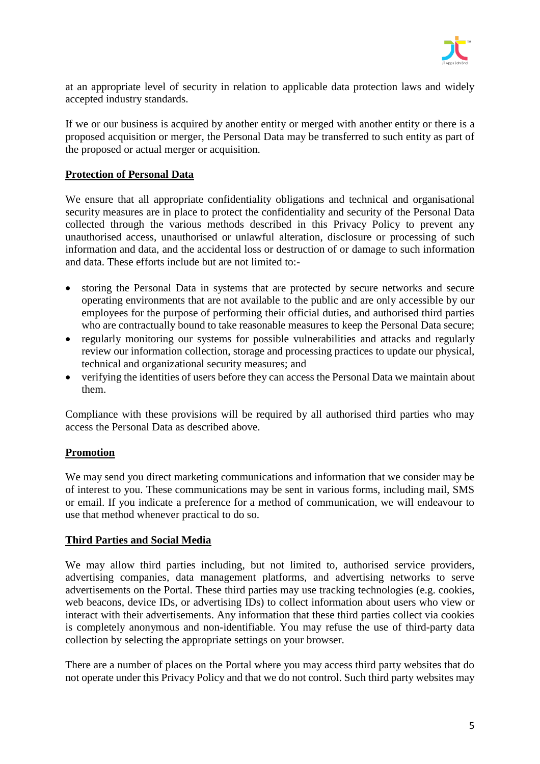

at an appropriate level of security in relation to applicable data protection laws and widely accepted industry standards.

If we or our business is acquired by another entity or merged with another entity or there is a proposed acquisition or merger, the Personal Data may be transferred to such entity as part of the proposed or actual merger or acquisition.

### **Protection of Personal Data**

We ensure that all appropriate confidentiality obligations and technical and organisational security measures are in place to protect the confidentiality and security of the Personal Data collected through the various methods described in this Privacy Policy to prevent any unauthorised access, unauthorised or unlawful alteration, disclosure or processing of such information and data, and the accidental loss or destruction of or damage to such information and data. These efforts include but are not limited to:-

- storing the Personal Data in systems that are protected by secure networks and secure operating environments that are not available to the public and are only accessible by our employees for the purpose of performing their official duties, and authorised third parties who are contractually bound to take reasonable measures to keep the Personal Data secure;
- regularly monitoring our systems for possible vulnerabilities and attacks and regularly review our information collection, storage and processing practices to update our physical, technical and organizational security measures; and
- verifying the identities of users before they can access the Personal Data we maintain about them.

Compliance with these provisions will be required by all authorised third parties who may access the Personal Data as described above.

# **Promotion**

We may send you direct marketing communications and information that we consider may be of interest to you. These communications may be sent in various forms, including mail, SMS or email. If you indicate a preference for a method of communication, we will endeavour to use that method whenever practical to do so.

#### **Third Parties and Social Media**

We may allow third parties including, but not limited to, authorised service providers, advertising companies, data management platforms, and advertising networks to serve advertisements on the Portal. These third parties may use tracking technologies (e.g. cookies, web beacons, device IDs, or advertising IDs) to collect information about users who view or interact with their advertisements. Any information that these third parties collect via cookies is completely anonymous and non-identifiable. You may refuse the use of third-party data collection by selecting the appropriate settings on your browser.

There are a number of places on the Portal where you may access third party websites that do not operate under this Privacy Policy and that we do not control. Such third party websites may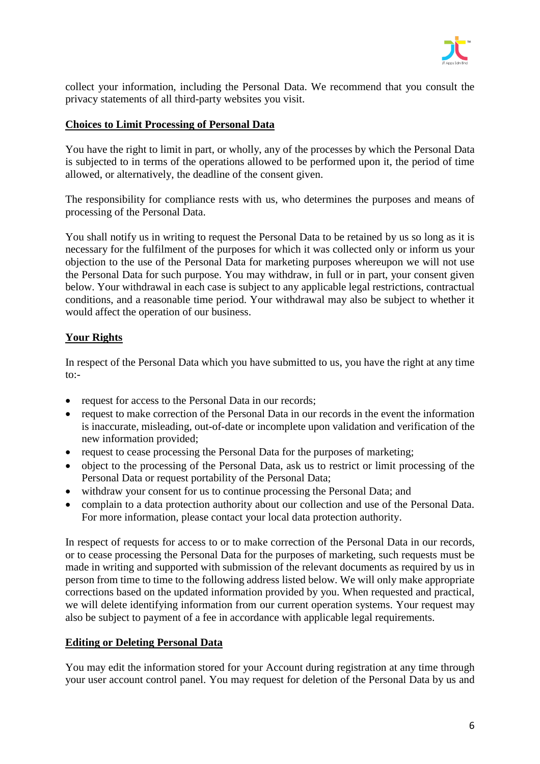

collect your information, including the Personal Data. We recommend that you consult the privacy statements of all third-party websites you visit.

### **Choices to Limit Processing of Personal Data**

You have the right to limit in part, or wholly, any of the processes by which the Personal Data is subjected to in terms of the operations allowed to be performed upon it, the period of time allowed, or alternatively, the deadline of the consent given.

The responsibility for compliance rests with us, who determines the purposes and means of processing of the Personal Data.

You shall notify us in writing to request the Personal Data to be retained by us so long as it is necessary for the fulfilment of the purposes for which it was collected only or inform us your objection to the use of the Personal Data for marketing purposes whereupon we will not use the Personal Data for such purpose. You may withdraw, in full or in part, your consent given below. Your withdrawal in each case is subject to any applicable legal restrictions, contractual conditions, and a reasonable time period. Your withdrawal may also be subject to whether it would affect the operation of our business.

# **Your Rights**

In respect of the Personal Data which you have submitted to us, you have the right at any time to:-

- request for access to the Personal Data in our records;
- request to make correction of the Personal Data in our records in the event the information is inaccurate, misleading, out-of-date or incomplete upon validation and verification of the new information provided;
- request to cease processing the Personal Data for the purposes of marketing;
- object to the processing of the Personal Data, ask us to restrict or limit processing of the Personal Data or request portability of the Personal Data;
- withdraw your consent for us to continue processing the Personal Data; and
- complain to a data protection authority about our collection and use of the Personal Data. For more information, please contact your local data protection authority.

In respect of requests for access to or to make correction of the Personal Data in our records, or to cease processing the Personal Data for the purposes of marketing, such requests must be made in writing and supported with submission of the relevant documents as required by us in person from time to time to the following address listed below. We will only make appropriate corrections based on the updated information provided by you. When requested and practical, we will delete identifying information from our current operation systems. Your request may also be subject to payment of a fee in accordance with applicable legal requirements.

#### **Editing or Deleting Personal Data**

You may edit the information stored for your Account during registration at any time through your user account control panel. You may request for deletion of the Personal Data by us and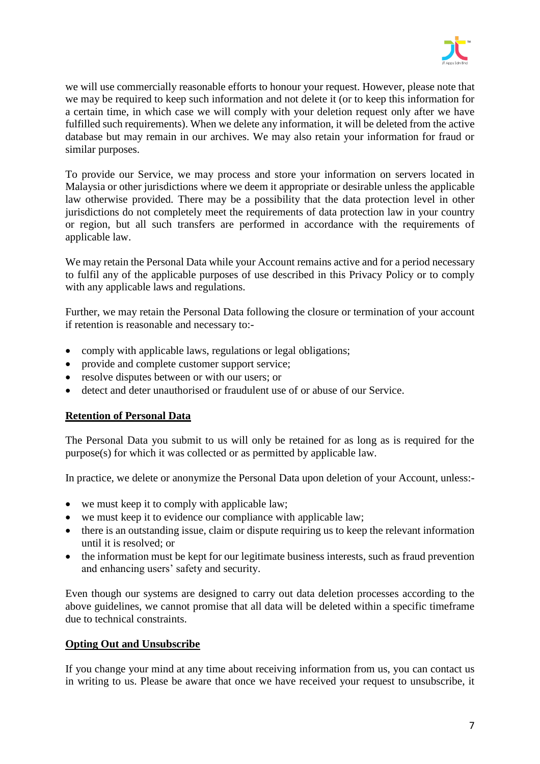

we will use commercially reasonable efforts to honour your request. However, please note that we may be required to keep such information and not delete it (or to keep this information for a certain time, in which case we will comply with your deletion request only after we have fulfilled such requirements). When we delete any information, it will be deleted from the active database but may remain in our archives. We may also retain your information for fraud or similar purposes.

To provide our Service, we may process and store your information on servers located in Malaysia or other jurisdictions where we deem it appropriate or desirable unless the applicable law otherwise provided. There may be a possibility that the data protection level in other jurisdictions do not completely meet the requirements of data protection law in your country or region, but all such transfers are performed in accordance with the requirements of applicable law.

We may retain the Personal Data while your Account remains active and for a period necessary to fulfil any of the applicable purposes of use described in this Privacy Policy or to comply with any applicable laws and regulations.

Further, we may retain the Personal Data following the closure or termination of your account if retention is reasonable and necessary to:-

- comply with applicable laws, regulations or legal obligations;
- provide and complete customer support service;
- resolve disputes between or with our users; or
- detect and deter unauthorised or fraudulent use of or abuse of our Service.

#### **Retention of Personal Data**

The Personal Data you submit to us will only be retained for as long as is required for the purpose(s) for which it was collected or as permitted by applicable law.

In practice, we delete or anonymize the Personal Data upon deletion of your Account, unless:-

- we must keep it to comply with applicable law;
- we must keep it to evidence our compliance with applicable law;
- there is an outstanding issue, claim or dispute requiring us to keep the relevant information until it is resolved; or
- the information must be kept for our legitimate business interests, such as fraud prevention and enhancing users' safety and security.

Even though our systems are designed to carry out data deletion processes according to the above guidelines, we cannot promise that all data will be deleted within a specific timeframe due to technical constraints.

# **Opting Out and Unsubscribe**

If you change your mind at any time about receiving information from us, you can contact us in writing to us. Please be aware that once we have received your request to unsubscribe, it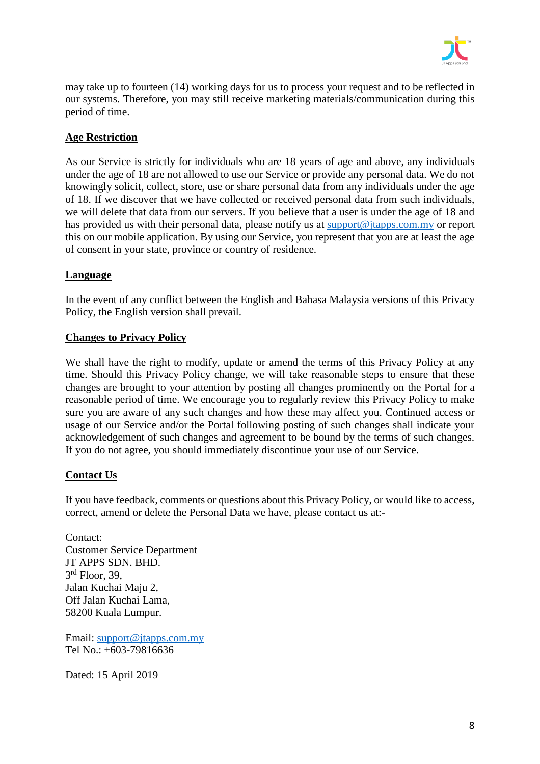

may take up to fourteen (14) working days for us to process your request and to be reflected in our systems. Therefore, you may still receive marketing materials/communication during this period of time.

# **Age Restriction**

As our Service is strictly for individuals who are 18 years of age and above, any individuals under the age of 18 are not allowed to use our Service or provide any personal data. We do not knowingly solicit, collect, store, use or share personal data from any individuals under the age of 18. If we discover that we have collected or received personal data from such individuals, we will delete that data from our servers. If you believe that a user is under the age of 18 and has provided us with their personal data, please notify us at [support@jtapps.com.my](mailto:support@jtapps.com.my) or report this on our mobile application. By using our Service, you represent that you are at least the age of consent in your state, province or country of residence.

# **Language**

In the event of any conflict between the English and Bahasa Malaysia versions of this Privacy Policy, the English version shall prevail.

### **Changes to Privacy Policy**

We shall have the right to modify, update or amend the terms of this Privacy Policy at any time. Should this Privacy Policy change, we will take reasonable steps to ensure that these changes are brought to your attention by posting all changes prominently on the Portal for a reasonable period of time. We encourage you to regularly review this Privacy Policy to make sure you are aware of any such changes and how these may affect you. Continued access or usage of our Service and/or the Portal following posting of such changes shall indicate your acknowledgement of such changes and agreement to be bound by the terms of such changes. If you do not agree, you should immediately discontinue your use of our Service.

# **Contact Us**

If you have feedback, comments or questions about this Privacy Policy, or would like to access, correct, amend or delete the Personal Data we have, please contact us at:-

Contact: Customer Service Department JT APPS SDN. BHD. 3 rd Floor, 39, Jalan Kuchai Maju 2, Off Jalan Kuchai Lama, 58200 Kuala Lumpur.

Email: [support@jtapps.com.my](mailto:support@jtapps.com.my) Tel No.: +603-79816636

Dated: 15 April 2019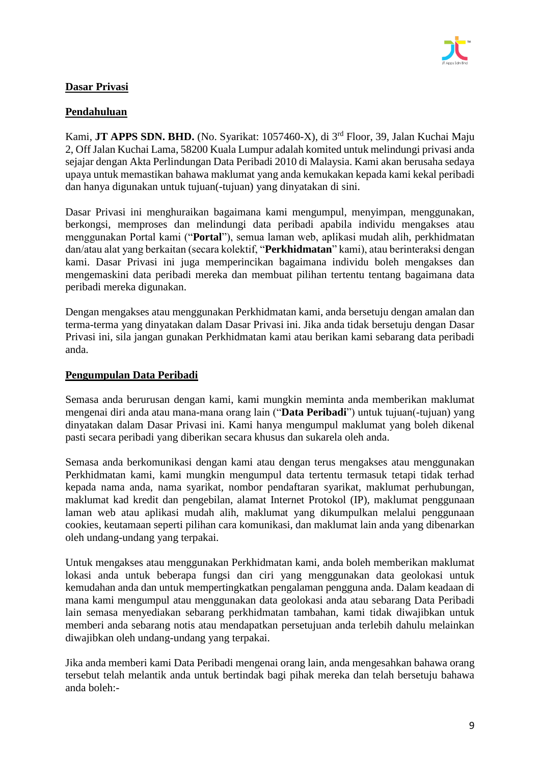

# **Dasar Privasi**

### **Pendahuluan**

Kami, **JT APPS SDN. BHD.** (No. Syarikat: 1057460-X), di 3<sup>rd</sup> Floor, 39, Jalan Kuchai Maju 2, Off Jalan Kuchai Lama, 58200 Kuala Lumpur adalah komited untuk melindungi privasi anda sejajar dengan Akta Perlindungan Data Peribadi 2010 di Malaysia. Kami akan berusaha sedaya upaya untuk memastikan bahawa maklumat yang anda kemukakan kepada kami kekal peribadi dan hanya digunakan untuk tujuan(-tujuan) yang dinyatakan di sini.

Dasar Privasi ini menghuraikan bagaimana kami mengumpul, menyimpan, menggunakan, berkongsi, memproses dan melindungi data peribadi apabila individu mengakses atau menggunakan Portal kami ("**Portal**"), semua laman web, aplikasi mudah alih, perkhidmatan dan/atau alat yang berkaitan (secara kolektif, "**Perkhidmatan**" kami), atau berinteraksi dengan kami. Dasar Privasi ini juga memperincikan bagaimana individu boleh mengakses dan mengemaskini data peribadi mereka dan membuat pilihan tertentu tentang bagaimana data peribadi mereka digunakan.

Dengan mengakses atau menggunakan Perkhidmatan kami, anda bersetuju dengan amalan dan terma-terma yang dinyatakan dalam Dasar Privasi ini. Jika anda tidak bersetuju dengan Dasar Privasi ini, sila jangan gunakan Perkhidmatan kami atau berikan kami sebarang data peribadi anda.

### **Pengumpulan Data Peribadi**

Semasa anda berurusan dengan kami, kami mungkin meminta anda memberikan maklumat mengenai diri anda atau mana-mana orang lain ("**Data Peribadi**") untuk tujuan(-tujuan) yang dinyatakan dalam Dasar Privasi ini. Kami hanya mengumpul maklumat yang boleh dikenal pasti secara peribadi yang diberikan secara khusus dan sukarela oleh anda.

Semasa anda berkomunikasi dengan kami atau dengan terus mengakses atau menggunakan Perkhidmatan kami, kami mungkin mengumpul data tertentu termasuk tetapi tidak terhad kepada nama anda, nama syarikat, nombor pendaftaran syarikat, maklumat perhubungan, maklumat kad kredit dan pengebilan, alamat Internet Protokol (IP), maklumat penggunaan laman web atau aplikasi mudah alih, maklumat yang dikumpulkan melalui penggunaan cookies, keutamaan seperti pilihan cara komunikasi, dan maklumat lain anda yang dibenarkan oleh undang-undang yang terpakai.

Untuk mengakses atau menggunakan Perkhidmatan kami, anda boleh memberikan maklumat lokasi anda untuk beberapa fungsi dan ciri yang menggunakan data geolokasi untuk kemudahan anda dan untuk mempertingkatkan pengalaman pengguna anda. Dalam keadaan di mana kami mengumpul atau menggunakan data geolokasi anda atau sebarang Data Peribadi lain semasa menyediakan sebarang perkhidmatan tambahan, kami tidak diwajibkan untuk memberi anda sebarang notis atau mendapatkan persetujuan anda terlebih dahulu melainkan diwajibkan oleh undang-undang yang terpakai.

Jika anda memberi kami Data Peribadi mengenai orang lain, anda mengesahkan bahawa orang tersebut telah melantik anda untuk bertindak bagi pihak mereka dan telah bersetuju bahawa anda boleh:-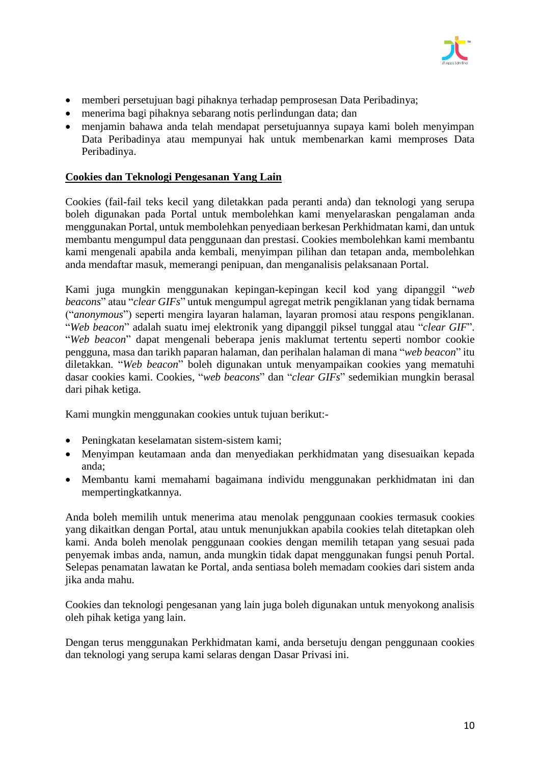

- memberi persetujuan bagi pihaknya terhadap pemprosesan Data Peribadinya;
- menerima bagi pihaknya sebarang notis perlindungan data; dan
- menjamin bahawa anda telah mendapat persetujuannya supaya kami boleh menyimpan Data Peribadinya atau mempunyai hak untuk membenarkan kami memproses Data Peribadinya.

### **Cookies dan Teknologi Pengesanan Yang Lain**

Cookies (fail-fail teks kecil yang diletakkan pada peranti anda) dan teknologi yang serupa boleh digunakan pada Portal untuk membolehkan kami menyelaraskan pengalaman anda menggunakan Portal, untuk membolehkan penyediaan berkesan Perkhidmatan kami, dan untuk membantu mengumpul data penggunaan dan prestasi. Cookies membolehkan kami membantu kami mengenali apabila anda kembali, menyimpan pilihan dan tetapan anda, membolehkan anda mendaftar masuk, memerangi penipuan, dan menganalisis pelaksanaan Portal.

Kami juga mungkin menggunakan kepingan-kepingan kecil kod yang dipanggil "*web beacons*" atau "*clear GIFs*" untuk mengumpul agregat metrik pengiklanan yang tidak bernama ("*anonymous*") seperti mengira layaran halaman, layaran promosi atau respons pengiklanan. "*Web beacon*" adalah suatu imej elektronik yang dipanggil piksel tunggal atau "*clear GIF*". "*Web beacon*" dapat mengenali beberapa jenis maklumat tertentu seperti nombor cookie pengguna, masa dan tarikh paparan halaman, dan perihalan halaman di mana "*web beacon*" itu diletakkan. "*Web beacon*" boleh digunakan untuk menyampaikan cookies yang mematuhi dasar cookies kami. Cookies, "*web beacons*" dan "*clear GIFs*" sedemikian mungkin berasal dari pihak ketiga.

Kami mungkin menggunakan cookies untuk tujuan berikut:-

- Peningkatan keselamatan sistem-sistem kami;
- Menyimpan keutamaan anda dan menyediakan perkhidmatan yang disesuaikan kepada anda;
- Membantu kami memahami bagaimana individu menggunakan perkhidmatan ini dan mempertingkatkannya.

Anda boleh memilih untuk menerima atau menolak penggunaan cookies termasuk cookies yang dikaitkan dengan Portal, atau untuk menunjukkan apabila cookies telah ditetapkan oleh kami. Anda boleh menolak penggunaan cookies dengan memilih tetapan yang sesuai pada penyemak imbas anda, namun, anda mungkin tidak dapat menggunakan fungsi penuh Portal. Selepas penamatan lawatan ke Portal, anda sentiasa boleh memadam cookies dari sistem anda jika anda mahu.

Cookies dan teknologi pengesanan yang lain juga boleh digunakan untuk menyokong analisis oleh pihak ketiga yang lain.

Dengan terus menggunakan Perkhidmatan kami, anda bersetuju dengan penggunaan cookies dan teknologi yang serupa kami selaras dengan Dasar Privasi ini.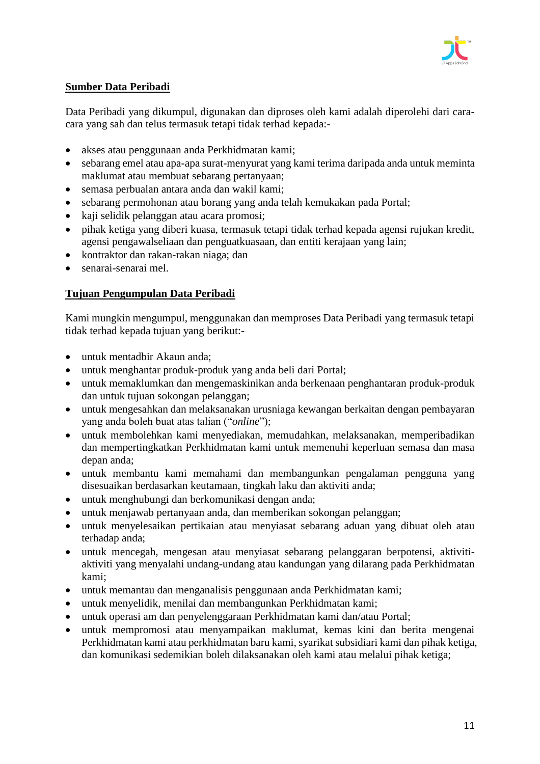

# **Sumber Data Peribadi**

Data Peribadi yang dikumpul, digunakan dan diproses oleh kami adalah diperolehi dari caracara yang sah dan telus termasuk tetapi tidak terhad kepada:-

- akses atau penggunaan anda Perkhidmatan kami;
- sebarang emel atau apa-apa surat-menyurat yang kami terima daripada anda untuk meminta maklumat atau membuat sebarang pertanyaan;
- semasa perbualan antara anda dan wakil kami;
- sebarang permohonan atau borang yang anda telah kemukakan pada Portal;
- kaji selidik pelanggan atau acara promosi;
- pihak ketiga yang diberi kuasa, termasuk tetapi tidak terhad kepada agensi rujukan kredit, agensi pengawalseliaan dan penguatkuasaan, dan entiti kerajaan yang lain;
- kontraktor dan rakan-rakan niaga; dan
- senarai-senarai mel.

# **Tujuan Pengumpulan Data Peribadi**

Kami mungkin mengumpul, menggunakan dan memproses Data Peribadi yang termasuk tetapi tidak terhad kepada tujuan yang berikut:-

- untuk mentadbir Akaun anda;
- untuk menghantar produk-produk yang anda beli dari Portal;
- untuk memaklumkan dan mengemaskinikan anda berkenaan penghantaran produk-produk dan untuk tujuan sokongan pelanggan;
- untuk mengesahkan dan melaksanakan urusniaga kewangan berkaitan dengan pembayaran yang anda boleh buat atas talian ("*online*");
- untuk membolehkan kami menyediakan, memudahkan, melaksanakan, memperibadikan dan mempertingkatkan Perkhidmatan kami untuk memenuhi keperluan semasa dan masa depan anda;
- untuk membantu kami memahami dan membangunkan pengalaman pengguna yang disesuaikan berdasarkan keutamaan, tingkah laku dan aktiviti anda;
- untuk menghubungi dan berkomunikasi dengan anda;
- untuk menjawab pertanyaan anda, dan memberikan sokongan pelanggan;
- untuk menyelesaikan pertikaian atau menyiasat sebarang aduan yang dibuat oleh atau terhadap anda;
- untuk mencegah, mengesan atau menyiasat sebarang pelanggaran berpotensi, aktivitiaktiviti yang menyalahi undang-undang atau kandungan yang dilarang pada Perkhidmatan kami;
- untuk memantau dan menganalisis penggunaan anda Perkhidmatan kami;
- untuk menyelidik, menilai dan membangunkan Perkhidmatan kami;
- untuk operasi am dan penyelenggaraan Perkhidmatan kami dan/atau Portal;
- untuk mempromosi atau menyampaikan maklumat, kemas kini dan berita mengenai Perkhidmatan kami atau perkhidmatan baru kami, syarikat subsidiari kami dan pihak ketiga, dan komunikasi sedemikian boleh dilaksanakan oleh kami atau melalui pihak ketiga;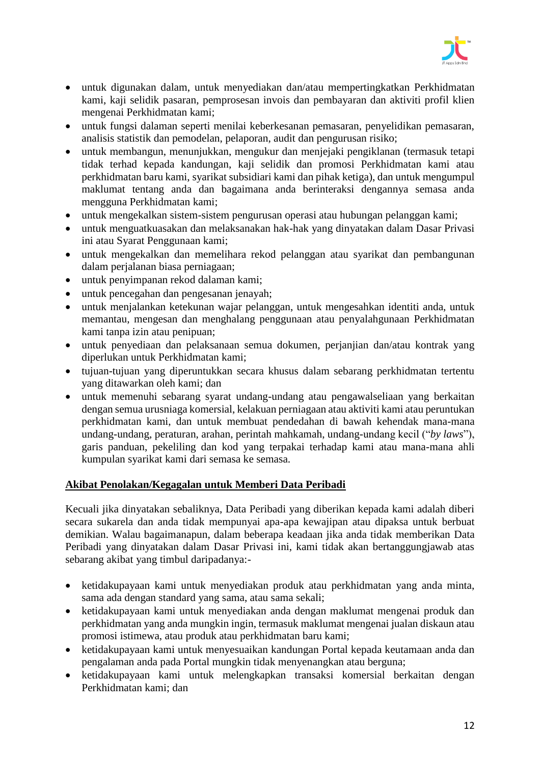

- untuk digunakan dalam, untuk menyediakan dan/atau mempertingkatkan Perkhidmatan kami, kaji selidik pasaran, pemprosesan invois dan pembayaran dan aktiviti profil klien mengenai Perkhidmatan kami;
- untuk fungsi dalaman seperti menilai keberkesanan pemasaran, penyelidikan pemasaran, analisis statistik dan pemodelan, pelaporan, audit dan pengurusan risiko;
- untuk membangun, menunjukkan, mengukur dan menjejaki pengiklanan (termasuk tetapi tidak terhad kepada kandungan, kaji selidik dan promosi Perkhidmatan kami atau perkhidmatan baru kami, syarikat subsidiari kami dan pihak ketiga), dan untuk mengumpul maklumat tentang anda dan bagaimana anda berinteraksi dengannya semasa anda mengguna Perkhidmatan kami;
- untuk mengekalkan sistem-sistem pengurusan operasi atau hubungan pelanggan kami;
- untuk menguatkuasakan dan melaksanakan hak-hak yang dinyatakan dalam Dasar Privasi ini atau Syarat Penggunaan kami;
- untuk mengekalkan dan memelihara rekod pelanggan atau syarikat dan pembangunan dalam perjalanan biasa perniagaan;
- untuk penyimpanan rekod dalaman kami;
- untuk pencegahan dan pengesanan jenayah;
- untuk menjalankan ketekunan wajar pelanggan, untuk mengesahkan identiti anda, untuk memantau, mengesan dan menghalang penggunaan atau penyalahgunaan Perkhidmatan kami tanpa izin atau penipuan;
- untuk penyediaan dan pelaksanaan semua dokumen, perjanjian dan/atau kontrak yang diperlukan untuk Perkhidmatan kami;
- tujuan-tujuan yang diperuntukkan secara khusus dalam sebarang perkhidmatan tertentu yang ditawarkan oleh kami; dan
- untuk memenuhi sebarang syarat undang-undang atau pengawalseliaan yang berkaitan dengan semua urusniaga komersial, kelakuan perniagaan atau aktiviti kami atau peruntukan perkhidmatan kami, dan untuk membuat pendedahan di bawah kehendak mana-mana undang-undang, peraturan, arahan, perintah mahkamah, undang-undang kecil ("*by laws*"), garis panduan, pekeliling dan kod yang terpakai terhadap kami atau mana-mana ahli kumpulan syarikat kami dari semasa ke semasa.

#### **Akibat Penolakan/Kegagalan untuk Memberi Data Peribadi**

Kecuali jika dinyatakan sebaliknya, Data Peribadi yang diberikan kepada kami adalah diberi secara sukarela dan anda tidak mempunyai apa-apa kewajipan atau dipaksa untuk berbuat demikian. Walau bagaimanapun, dalam beberapa keadaan jika anda tidak memberikan Data Peribadi yang dinyatakan dalam Dasar Privasi ini, kami tidak akan bertanggungjawab atas sebarang akibat yang timbul daripadanya:-

- ketidakupayaan kami untuk menyediakan produk atau perkhidmatan yang anda minta, sama ada dengan standard yang sama, atau sama sekali;
- ketidakupayaan kami untuk menyediakan anda dengan maklumat mengenai produk dan perkhidmatan yang anda mungkin ingin, termasuk maklumat mengenai jualan diskaun atau promosi istimewa, atau produk atau perkhidmatan baru kami;
- ketidakupayaan kami untuk menyesuaikan kandungan Portal kepada keutamaan anda dan pengalaman anda pada Portal mungkin tidak menyenangkan atau berguna;
- ketidakupayaan kami untuk melengkapkan transaksi komersial berkaitan dengan Perkhidmatan kami; dan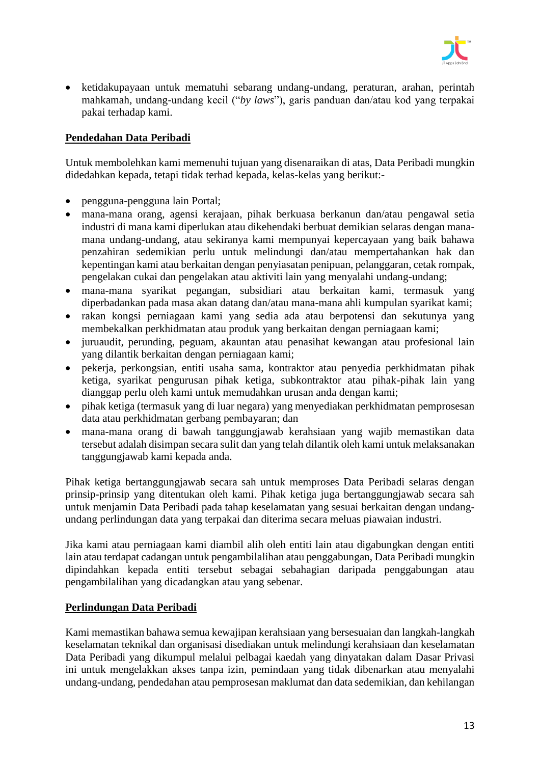

• ketidakupayaan untuk mematuhi sebarang undang-undang, peraturan, arahan, perintah mahkamah, undang-undang kecil ("*by laws*"), garis panduan dan/atau kod yang terpakai pakai terhadap kami.

### **Pendedahan Data Peribadi**

Untuk membolehkan kami memenuhi tujuan yang disenaraikan di atas, Data Peribadi mungkin didedahkan kepada, tetapi tidak terhad kepada, kelas-kelas yang berikut:-

- pengguna-pengguna lain Portal;
- mana-mana orang, agensi kerajaan, pihak berkuasa berkanun dan/atau pengawal setia industri di mana kami diperlukan atau dikehendaki berbuat demikian selaras dengan manamana undang-undang, atau sekiranya kami mempunyai kepercayaan yang baik bahawa penzahiran sedemikian perlu untuk melindungi dan/atau mempertahankan hak dan kepentingan kami atau berkaitan dengan penyiasatan penipuan, pelanggaran, cetak rompak, pengelakan cukai dan pengelakan atau aktiviti lain yang menyalahi undang-undang;
- mana-mana syarikat pegangan, subsidiari atau berkaitan kami, termasuk yang diperbadankan pada masa akan datang dan/atau mana-mana ahli kumpulan syarikat kami;
- rakan kongsi perniagaan kami yang sedia ada atau berpotensi dan sekutunya yang membekalkan perkhidmatan atau produk yang berkaitan dengan perniagaan kami;
- juruaudit, perunding, peguam, akauntan atau penasihat kewangan atau profesional lain yang dilantik berkaitan dengan perniagaan kami;
- pekerja, perkongsian, entiti usaha sama, kontraktor atau penyedia perkhidmatan pihak ketiga, syarikat pengurusan pihak ketiga, subkontraktor atau pihak-pihak lain yang dianggap perlu oleh kami untuk memudahkan urusan anda dengan kami;
- pihak ketiga (termasuk yang di luar negara) yang menyediakan perkhidmatan pemprosesan data atau perkhidmatan gerbang pembayaran; dan
- mana-mana orang di bawah tanggungjawab kerahsiaan yang wajib memastikan data tersebut adalah disimpan secara sulit dan yang telah dilantik oleh kami untuk melaksanakan tanggungjawab kami kepada anda.

Pihak ketiga bertanggungjawab secara sah untuk memproses Data Peribadi selaras dengan prinsip-prinsip yang ditentukan oleh kami. Pihak ketiga juga bertanggungjawab secara sah untuk menjamin Data Peribadi pada tahap keselamatan yang sesuai berkaitan dengan undangundang perlindungan data yang terpakai dan diterima secara meluas piawaian industri.

Jika kami atau perniagaan kami diambil alih oleh entiti lain atau digabungkan dengan entiti lain atau terdapat cadangan untuk pengambilalihan atau penggabungan, Data Peribadi mungkin dipindahkan kepada entiti tersebut sebagai sebahagian daripada penggabungan atau pengambilalihan yang dicadangkan atau yang sebenar.

# **Perlindungan Data Peribadi**

Kami memastikan bahawa semua kewajipan kerahsiaan yang bersesuaian dan langkah-langkah keselamatan teknikal dan organisasi disediakan untuk melindungi kerahsiaan dan keselamatan Data Peribadi yang dikumpul melalui pelbagai kaedah yang dinyatakan dalam Dasar Privasi ini untuk mengelakkan akses tanpa izin, pemindaan yang tidak dibenarkan atau menyalahi undang-undang, pendedahan atau pemprosesan maklumat dan data sedemikian, dan kehilangan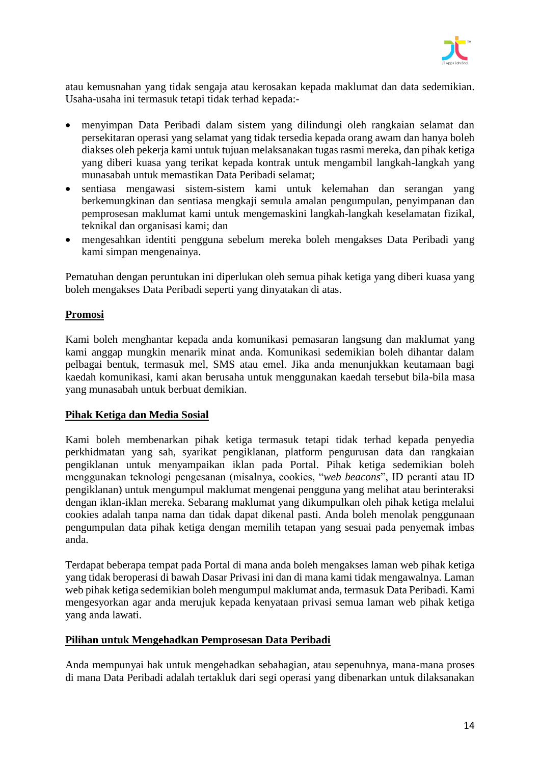

atau kemusnahan yang tidak sengaja atau kerosakan kepada maklumat dan data sedemikian. Usaha-usaha ini termasuk tetapi tidak terhad kepada:-

- menyimpan Data Peribadi dalam sistem yang dilindungi oleh rangkaian selamat dan persekitaran operasi yang selamat yang tidak tersedia kepada orang awam dan hanya boleh diakses oleh pekerja kami untuk tujuan melaksanakan tugas rasmi mereka, dan pihak ketiga yang diberi kuasa yang terikat kepada kontrak untuk mengambil langkah-langkah yang munasabah untuk memastikan Data Peribadi selamat;
- sentiasa mengawasi sistem-sistem kami untuk kelemahan dan serangan yang berkemungkinan dan sentiasa mengkaji semula amalan pengumpulan, penyimpanan dan pemprosesan maklumat kami untuk mengemaskini langkah-langkah keselamatan fizikal, teknikal dan organisasi kami; dan
- mengesahkan identiti pengguna sebelum mereka boleh mengakses Data Peribadi yang kami simpan mengenainya.

Pematuhan dengan peruntukan ini diperlukan oleh semua pihak ketiga yang diberi kuasa yang boleh mengakses Data Peribadi seperti yang dinyatakan di atas.

### **Promosi**

Kami boleh menghantar kepada anda komunikasi pemasaran langsung dan maklumat yang kami anggap mungkin menarik minat anda. Komunikasi sedemikian boleh dihantar dalam pelbagai bentuk, termasuk mel, SMS atau emel. Jika anda menunjukkan keutamaan bagi kaedah komunikasi, kami akan berusaha untuk menggunakan kaedah tersebut bila-bila masa yang munasabah untuk berbuat demikian.

#### **Pihak Ketiga dan Media Sosial**

Kami boleh membenarkan pihak ketiga termasuk tetapi tidak terhad kepada penyedia perkhidmatan yang sah, syarikat pengiklanan, platform pengurusan data dan rangkaian pengiklanan untuk menyampaikan iklan pada Portal. Pihak ketiga sedemikian boleh menggunakan teknologi pengesanan (misalnya, cookies, "*web beacons*", ID peranti atau ID pengiklanan) untuk mengumpul maklumat mengenai pengguna yang melihat atau berinteraksi dengan iklan-iklan mereka. Sebarang maklumat yang dikumpulkan oleh pihak ketiga melalui cookies adalah tanpa nama dan tidak dapat dikenal pasti. Anda boleh menolak penggunaan pengumpulan data pihak ketiga dengan memilih tetapan yang sesuai pada penyemak imbas anda.

Terdapat beberapa tempat pada Portal di mana anda boleh mengakses laman web pihak ketiga yang tidak beroperasi di bawah Dasar Privasi ini dan di mana kami tidak mengawalnya. Laman web pihak ketiga sedemikian boleh mengumpul maklumat anda, termasuk Data Peribadi. Kami mengesyorkan agar anda merujuk kepada kenyataan privasi semua laman web pihak ketiga yang anda lawati.

#### **Pilihan untuk Mengehadkan Pemprosesan Data Peribadi**

Anda mempunyai hak untuk mengehadkan sebahagian, atau sepenuhnya, mana-mana proses di mana Data Peribadi adalah tertakluk dari segi operasi yang dibenarkan untuk dilaksanakan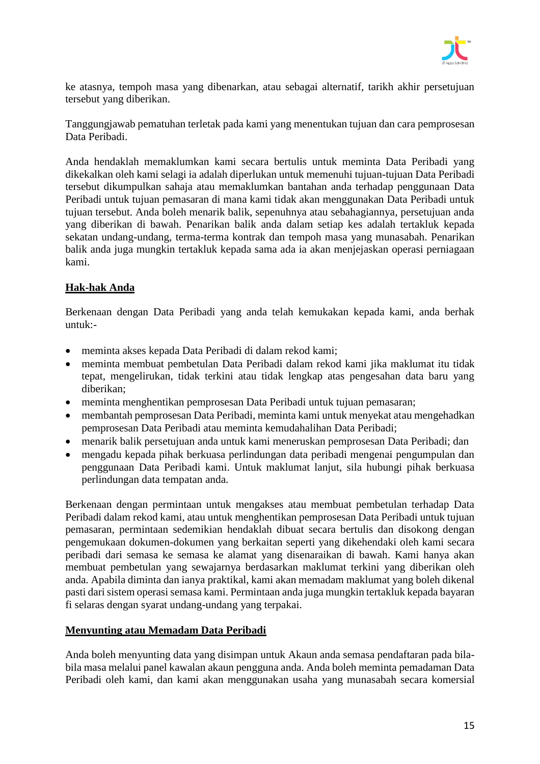

ke atasnya, tempoh masa yang dibenarkan, atau sebagai alternatif, tarikh akhir persetujuan tersebut yang diberikan.

Tanggungjawab pematuhan terletak pada kami yang menentukan tujuan dan cara pemprosesan Data Peribadi.

Anda hendaklah memaklumkan kami secara bertulis untuk meminta Data Peribadi yang dikekalkan oleh kami selagi ia adalah diperlukan untuk memenuhi tujuan-tujuan Data Peribadi tersebut dikumpulkan sahaja atau memaklumkan bantahan anda terhadap penggunaan Data Peribadi untuk tujuan pemasaran di mana kami tidak akan menggunakan Data Peribadi untuk tujuan tersebut. Anda boleh menarik balik, sepenuhnya atau sebahagiannya, persetujuan anda yang diberikan di bawah. Penarikan balik anda dalam setiap kes adalah tertakluk kepada sekatan undang-undang, terma-terma kontrak dan tempoh masa yang munasabah. Penarikan balik anda juga mungkin tertakluk kepada sama ada ia akan menjejaskan operasi perniagaan kami.

# **Hak-hak Anda**

Berkenaan dengan Data Peribadi yang anda telah kemukakan kepada kami, anda berhak untuk:-

- meminta akses kepada Data Peribadi di dalam rekod kami;
- meminta membuat pembetulan Data Peribadi dalam rekod kami jika maklumat itu tidak tepat, mengelirukan, tidak terkini atau tidak lengkap atas pengesahan data baru yang diberikan;
- meminta menghentikan pemprosesan Data Peribadi untuk tujuan pemasaran;
- membantah pemprosesan Data Peribadi, meminta kami untuk menyekat atau mengehadkan pemprosesan Data Peribadi atau meminta kemudahalihan Data Peribadi;
- menarik balik persetujuan anda untuk kami meneruskan pemprosesan Data Peribadi; dan
- mengadu kepada pihak berkuasa perlindungan data peribadi mengenai pengumpulan dan penggunaan Data Peribadi kami. Untuk maklumat lanjut, sila hubungi pihak berkuasa perlindungan data tempatan anda.

Berkenaan dengan permintaan untuk mengakses atau membuat pembetulan terhadap Data Peribadi dalam rekod kami, atau untuk menghentikan pemprosesan Data Peribadi untuk tujuan pemasaran, permintaan sedemikian hendaklah dibuat secara bertulis dan disokong dengan pengemukaan dokumen-dokumen yang berkaitan seperti yang dikehendaki oleh kami secara peribadi dari semasa ke semasa ke alamat yang disenaraikan di bawah. Kami hanya akan membuat pembetulan yang sewajarnya berdasarkan maklumat terkini yang diberikan oleh anda. Apabila diminta dan ianya praktikal, kami akan memadam maklumat yang boleh dikenal pasti dari sistem operasi semasa kami. Permintaan anda juga mungkin tertakluk kepada bayaran fi selaras dengan syarat undang-undang yang terpakai.

# **Menyunting atau Memadam Data Peribadi**

Anda boleh menyunting data yang disimpan untuk Akaun anda semasa pendaftaran pada bilabila masa melalui panel kawalan akaun pengguna anda. Anda boleh meminta pemadaman Data Peribadi oleh kami, dan kami akan menggunakan usaha yang munasabah secara komersial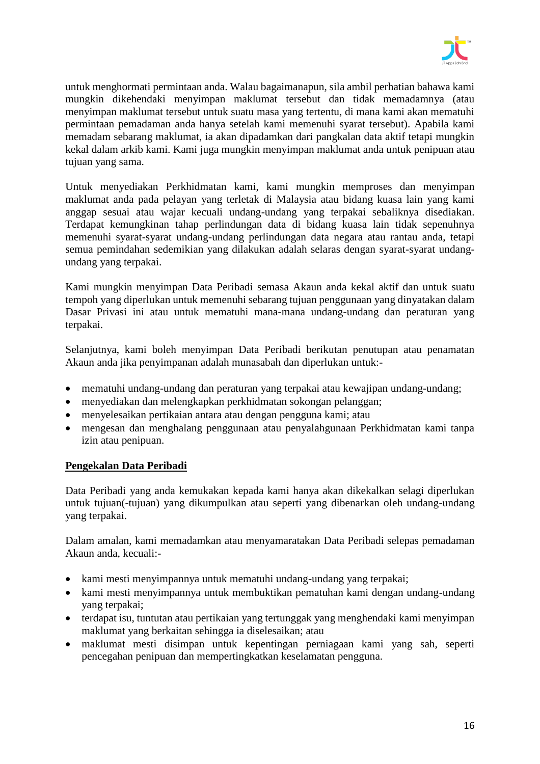

untuk menghormati permintaan anda. Walau bagaimanapun, sila ambil perhatian bahawa kami mungkin dikehendaki menyimpan maklumat tersebut dan tidak memadamnya (atau menyimpan maklumat tersebut untuk suatu masa yang tertentu, di mana kami akan mematuhi permintaan pemadaman anda hanya setelah kami memenuhi syarat tersebut). Apabila kami memadam sebarang maklumat, ia akan dipadamkan dari pangkalan data aktif tetapi mungkin kekal dalam arkib kami. Kami juga mungkin menyimpan maklumat anda untuk penipuan atau tujuan yang sama.

Untuk menyediakan Perkhidmatan kami, kami mungkin memproses dan menyimpan maklumat anda pada pelayan yang terletak di Malaysia atau bidang kuasa lain yang kami anggap sesuai atau wajar kecuali undang-undang yang terpakai sebaliknya disediakan. Terdapat kemungkinan tahap perlindungan data di bidang kuasa lain tidak sepenuhnya memenuhi syarat-syarat undang-undang perlindungan data negara atau rantau anda, tetapi semua pemindahan sedemikian yang dilakukan adalah selaras dengan syarat-syarat undangundang yang terpakai.

Kami mungkin menyimpan Data Peribadi semasa Akaun anda kekal aktif dan untuk suatu tempoh yang diperlukan untuk memenuhi sebarang tujuan penggunaan yang dinyatakan dalam Dasar Privasi ini atau untuk mematuhi mana-mana undang-undang dan peraturan yang terpakai.

Selanjutnya, kami boleh menyimpan Data Peribadi berikutan penutupan atau penamatan Akaun anda jika penyimpanan adalah munasabah dan diperlukan untuk:-

- mematuhi undang-undang dan peraturan yang terpakai atau kewajipan undang-undang;
- menyediakan dan melengkapkan perkhidmatan sokongan pelanggan;
- menyelesaikan pertikaian antara atau dengan pengguna kami; atau
- mengesan dan menghalang penggunaan atau penyalahgunaan Perkhidmatan kami tanpa izin atau penipuan.

#### **Pengekalan Data Peribadi**

Data Peribadi yang anda kemukakan kepada kami hanya akan dikekalkan selagi diperlukan untuk tujuan(-tujuan) yang dikumpulkan atau seperti yang dibenarkan oleh undang-undang yang terpakai.

Dalam amalan, kami memadamkan atau menyamaratakan Data Peribadi selepas pemadaman Akaun anda, kecuali:-

- kami mesti menyimpannya untuk mematuhi undang-undang yang terpakai;
- kami mesti menyimpannya untuk membuktikan pematuhan kami dengan undang-undang yang terpakai;
- terdapat isu, tuntutan atau pertikaian yang tertunggak yang menghendaki kami menyimpan maklumat yang berkaitan sehingga ia diselesaikan; atau
- maklumat mesti disimpan untuk kepentingan perniagaan kami yang sah, seperti pencegahan penipuan dan mempertingkatkan keselamatan pengguna.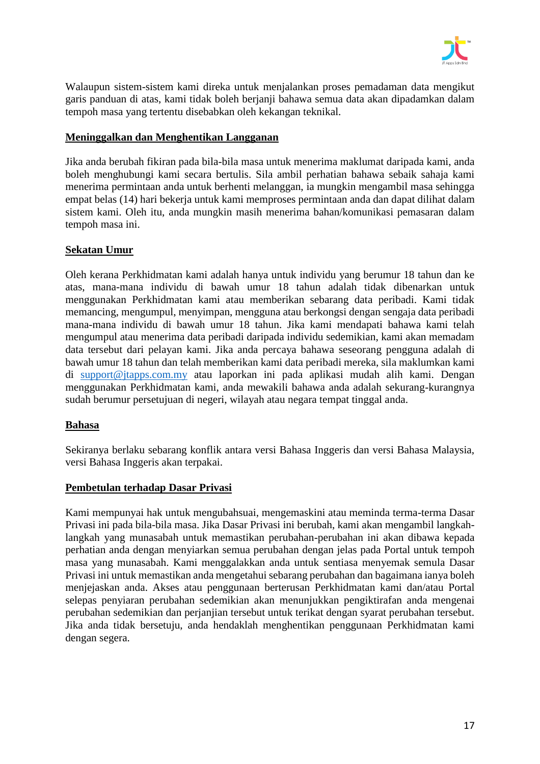

Walaupun sistem-sistem kami direka untuk menjalankan proses pemadaman data mengikut garis panduan di atas, kami tidak boleh berjanji bahawa semua data akan dipadamkan dalam tempoh masa yang tertentu disebabkan oleh kekangan teknikal.

### **Meninggalkan dan Menghentikan Langganan**

Jika anda berubah fikiran pada bila-bila masa untuk menerima maklumat daripada kami, anda boleh menghubungi kami secara bertulis. Sila ambil perhatian bahawa sebaik sahaja kami menerima permintaan anda untuk berhenti melanggan, ia mungkin mengambil masa sehingga empat belas (14) hari bekerja untuk kami memproses permintaan anda dan dapat dilihat dalam sistem kami. Oleh itu, anda mungkin masih menerima bahan/komunikasi pemasaran dalam tempoh masa ini.

#### **Sekatan Umur**

Oleh kerana Perkhidmatan kami adalah hanya untuk individu yang berumur 18 tahun dan ke atas, mana-mana individu di bawah umur 18 tahun adalah tidak dibenarkan untuk menggunakan Perkhidmatan kami atau memberikan sebarang data peribadi. Kami tidak memancing, mengumpul, menyimpan, mengguna atau berkongsi dengan sengaja data peribadi mana-mana individu di bawah umur 18 tahun. Jika kami mendapati bahawa kami telah mengumpul atau menerima data peribadi daripada individu sedemikian, kami akan memadam data tersebut dari pelayan kami. Jika anda percaya bahawa seseorang pengguna adalah di bawah umur 18 tahun dan telah memberikan kami data peribadi mereka, sila maklumkan kami di [support@jtapps.com.my](mailto:support@jtapps.com.my) atau laporkan ini pada aplikasi mudah alih kami. Dengan menggunakan Perkhidmatan kami, anda mewakili bahawa anda adalah sekurang-kurangnya sudah berumur persetujuan di negeri, wilayah atau negara tempat tinggal anda.

#### **Bahasa**

Sekiranya berlaku sebarang konflik antara versi Bahasa Inggeris dan versi Bahasa Malaysia, versi Bahasa Inggeris akan terpakai.

#### **Pembetulan terhadap Dasar Privasi**

Kami mempunyai hak untuk mengubahsuai, mengemaskini atau meminda terma-terma Dasar Privasi ini pada bila-bila masa. Jika Dasar Privasi ini berubah, kami akan mengambil langkahlangkah yang munasabah untuk memastikan perubahan-perubahan ini akan dibawa kepada perhatian anda dengan menyiarkan semua perubahan dengan jelas pada Portal untuk tempoh masa yang munasabah. Kami menggalakkan anda untuk sentiasa menyemak semula Dasar Privasi ini untuk memastikan anda mengetahui sebarang perubahan dan bagaimana ianya boleh menjejaskan anda. Akses atau penggunaan berterusan Perkhidmatan kami dan/atau Portal selepas penyiaran perubahan sedemikian akan menunjukkan pengiktirafan anda mengenai perubahan sedemikian dan perjanjian tersebut untuk terikat dengan syarat perubahan tersebut. Jika anda tidak bersetuju, anda hendaklah menghentikan penggunaan Perkhidmatan kami dengan segera.